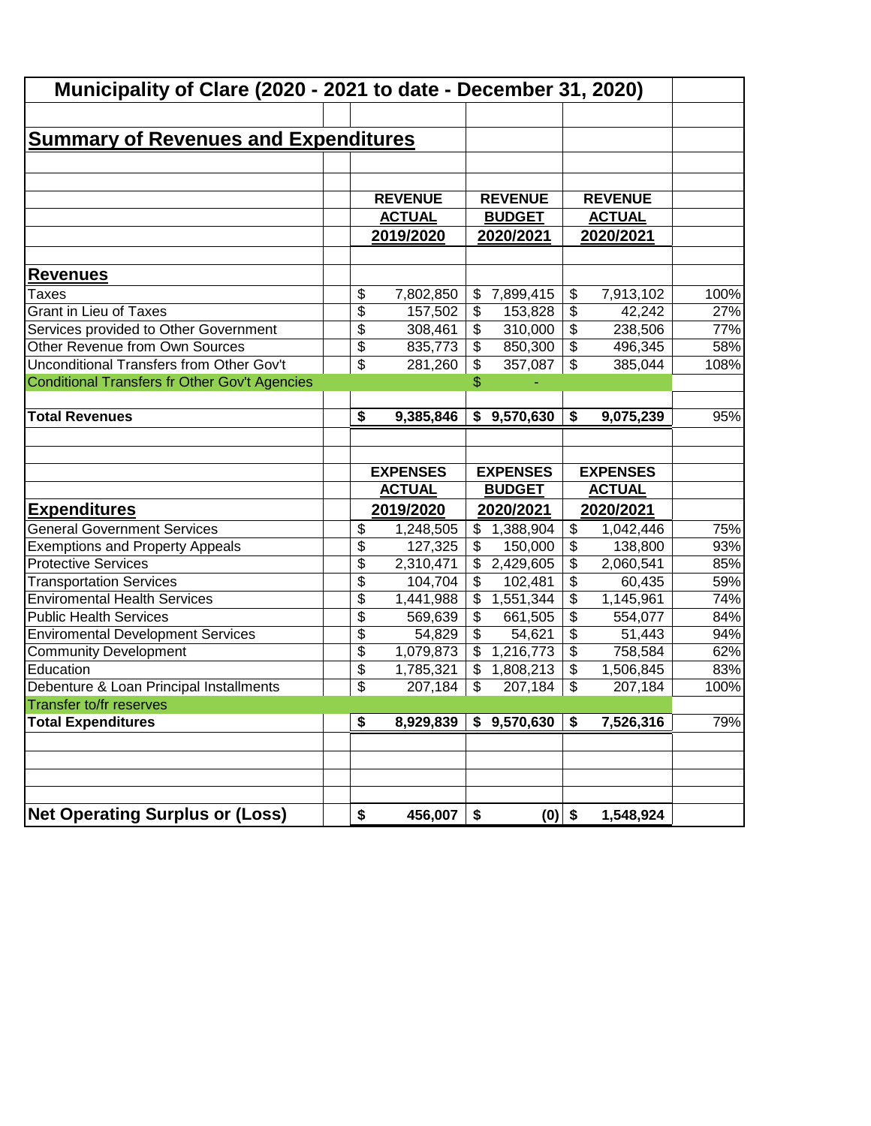| <b>Summary of Revenues and Expenditures</b> | Municipality of Clare (2020 - 2021 to date - December 31, 2020)<br><b>REVENUE</b><br><b>ACTUAL</b> |                                                                                                                                                                           | <b>REVENUE</b>                                                                  |                                                                                                                                                                                            |                                                                            |                                                                                                                                                                       |
|---------------------------------------------|----------------------------------------------------------------------------------------------------|---------------------------------------------------------------------------------------------------------------------------------------------------------------------------|---------------------------------------------------------------------------------|--------------------------------------------------------------------------------------------------------------------------------------------------------------------------------------------|----------------------------------------------------------------------------|-----------------------------------------------------------------------------------------------------------------------------------------------------------------------|
|                                             |                                                                                                    |                                                                                                                                                                           |                                                                                 |                                                                                                                                                                                            |                                                                            |                                                                                                                                                                       |
|                                             |                                                                                                    |                                                                                                                                                                           |                                                                                 |                                                                                                                                                                                            |                                                                            |                                                                                                                                                                       |
|                                             |                                                                                                    |                                                                                                                                                                           |                                                                                 |                                                                                                                                                                                            |                                                                            |                                                                                                                                                                       |
|                                             |                                                                                                    |                                                                                                                                                                           |                                                                                 |                                                                                                                                                                                            |                                                                            |                                                                                                                                                                       |
|                                             |                                                                                                    |                                                                                                                                                                           |                                                                                 |                                                                                                                                                                                            | <b>REVENUE</b>                                                             |                                                                                                                                                                       |
|                                             |                                                                                                    |                                                                                                                                                                           | <b>BUDGET</b>                                                                   |                                                                                                                                                                                            | <b>ACTUAL</b>                                                              |                                                                                                                                                                       |
|                                             | 2019/2020                                                                                          |                                                                                                                                                                           | 2020/2021                                                                       |                                                                                                                                                                                            | 2020/2021                                                                  |                                                                                                                                                                       |
|                                             |                                                                                                    |                                                                                                                                                                           |                                                                                 |                                                                                                                                                                                            |                                                                            |                                                                                                                                                                       |
|                                             |                                                                                                    |                                                                                                                                                                           |                                                                                 |                                                                                                                                                                                            |                                                                            | 100%                                                                                                                                                                  |
|                                             |                                                                                                    |                                                                                                                                                                           |                                                                                 |                                                                                                                                                                                            |                                                                            | 27%                                                                                                                                                                   |
| \$                                          |                                                                                                    | \$                                                                                                                                                                        |                                                                                 |                                                                                                                                                                                            |                                                                            | 77%                                                                                                                                                                   |
| \$                                          | 835,773                                                                                            | $\boldsymbol{\mathsf{S}}$                                                                                                                                                 | 850,300                                                                         | \$                                                                                                                                                                                         | 496,345                                                                    | 58%                                                                                                                                                                   |
| \$                                          | 281,260                                                                                            | \$                                                                                                                                                                        | 357,087                                                                         | \$                                                                                                                                                                                         | 385,044                                                                    | 108%                                                                                                                                                                  |
|                                             |                                                                                                    | \$                                                                                                                                                                        |                                                                                 |                                                                                                                                                                                            |                                                                            |                                                                                                                                                                       |
|                                             |                                                                                                    |                                                                                                                                                                           |                                                                                 |                                                                                                                                                                                            |                                                                            |                                                                                                                                                                       |
| \$                                          | 9,385,846                                                                                          | \$                                                                                                                                                                        | 9,570,630                                                                       | \$                                                                                                                                                                                         | 9,075,239                                                                  | 95%                                                                                                                                                                   |
|                                             | <b>ACTUAL</b>                                                                                      |                                                                                                                                                                           |                                                                                 |                                                                                                                                                                                            | <b>ACTUAL</b>                                                              |                                                                                                                                                                       |
|                                             |                                                                                                    |                                                                                                                                                                           |                                                                                 |                                                                                                                                                                                            |                                                                            |                                                                                                                                                                       |
| \$                                          | 1,248,505                                                                                          | \$                                                                                                                                                                        | 1,388,904                                                                       |                                                                                                                                                                                            | 1,042,446                                                                  | 75%                                                                                                                                                                   |
|                                             |                                                                                                    |                                                                                                                                                                           |                                                                                 |                                                                                                                                                                                            |                                                                            | 93%                                                                                                                                                                   |
|                                             |                                                                                                    | \$                                                                                                                                                                        |                                                                                 |                                                                                                                                                                                            |                                                                            | 85%                                                                                                                                                                   |
|                                             |                                                                                                    |                                                                                                                                                                           |                                                                                 |                                                                                                                                                                                            |                                                                            | 59%                                                                                                                                                                   |
|                                             |                                                                                                    |                                                                                                                                                                           |                                                                                 |                                                                                                                                                                                            |                                                                            | 74%                                                                                                                                                                   |
|                                             |                                                                                                    |                                                                                                                                                                           |                                                                                 |                                                                                                                                                                                            |                                                                            | 84%                                                                                                                                                                   |
|                                             |                                                                                                    |                                                                                                                                                                           |                                                                                 |                                                                                                                                                                                            |                                                                            | 94%                                                                                                                                                                   |
|                                             |                                                                                                    |                                                                                                                                                                           |                                                                                 |                                                                                                                                                                                            |                                                                            | 62%                                                                                                                                                                   |
|                                             |                                                                                                    |                                                                                                                                                                           |                                                                                 |                                                                                                                                                                                            |                                                                            | 83%                                                                                                                                                                   |
|                                             |                                                                                                    |                                                                                                                                                                           |                                                                                 |                                                                                                                                                                                            |                                                                            | 100%                                                                                                                                                                  |
| \$                                          | 8,929,839                                                                                          |                                                                                                                                                                           | \$9,570,630                                                                     | \$                                                                                                                                                                                         | 7,526,316                                                                  | 79%                                                                                                                                                                   |
|                                             |                                                                                                    |                                                                                                                                                                           |                                                                                 |                                                                                                                                                                                            |                                                                            |                                                                                                                                                                       |
|                                             |                                                                                                    |                                                                                                                                                                           |                                                                                 |                                                                                                                                                                                            |                                                                            |                                                                                                                                                                       |
|                                             |                                                                                                    |                                                                                                                                                                           |                                                                                 |                                                                                                                                                                                            |                                                                            |                                                                                                                                                                       |
|                                             |                                                                                                    |                                                                                                                                                                           |                                                                                 |                                                                                                                                                                                            |                                                                            |                                                                                                                                                                       |
|                                             |                                                                                                    |                                                                                                                                                                           |                                                                                 |                                                                                                                                                                                            |                                                                            |                                                                                                                                                                       |
|                                             | \$<br>\$<br>\$<br>\$<br>\$<br>\$<br>\$<br>\$<br>\$<br>\$<br>\$                                     | 7,802,850<br>157,502<br>308,461<br><b>EXPENSES</b><br>2019/2020<br>127,325<br>2,310,471<br>104,704<br>1,441,988<br>569,639<br>54,829<br>1,079,873<br>1,785,321<br>207,184 | \$<br>$\frac{1}{2}$<br>\$<br>\$<br>\$<br>\$<br>\$<br>\$<br>$\mathfrak{S}$<br>\$ | 7,899,415<br>153,828<br>310,000<br><b>EXPENSES</b><br><b>BUDGET</b><br>2020/2021<br>150,000<br>2,429,605<br>102,481<br>1,551,344<br>661,505<br>54,621<br>1,216,773<br>1,808,213<br>207,184 | \$<br>\$<br>\$<br>\$<br>\$<br>\$<br>\$<br>\$<br>\$<br>\$<br>\$<br>\$<br>\$ | 7,913,102<br>42,242<br>238,506<br><b>EXPENSES</b><br>2020/2021<br>138,800<br>2,060,541<br>60,435<br>1,145,961<br>554,077<br>51,443<br>758,584<br>1,506,845<br>207,184 |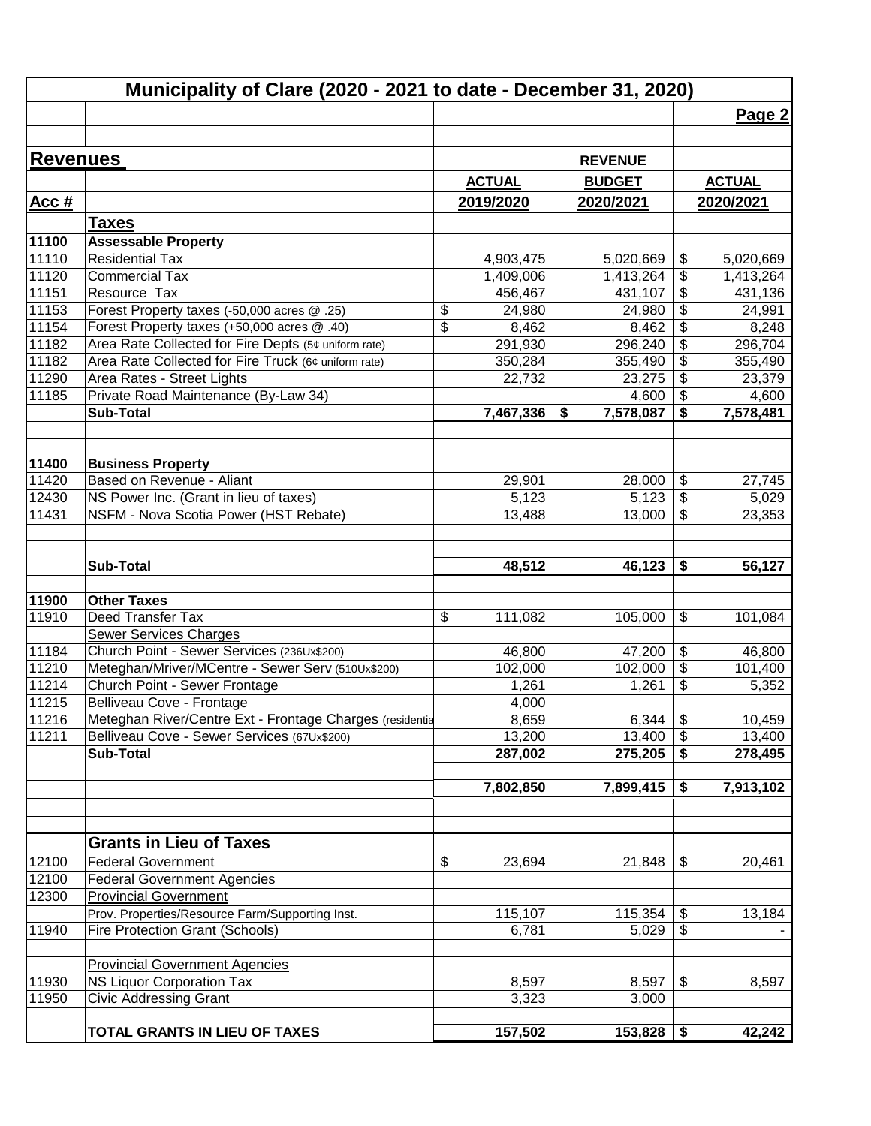|                 | Municipality of Clare (2020 - 2021 to date - December 31, 2020) |               |                 |                                      |               |
|-----------------|-----------------------------------------------------------------|---------------|-----------------|--------------------------------------|---------------|
|                 |                                                                 |               |                 |                                      | Page 2        |
|                 |                                                                 |               |                 |                                      |               |
| <b>Revenues</b> |                                                                 |               | <b>REVENUE</b>  |                                      |               |
|                 |                                                                 | <b>ACTUAL</b> | <b>BUDGET</b>   |                                      | <b>ACTUAL</b> |
|                 |                                                                 |               |                 |                                      |               |
| <u>Acc #</u>    |                                                                 | 2019/2020     | 2020/2021       |                                      | 2020/2021     |
|                 | <b>Taxes</b>                                                    |               |                 |                                      |               |
| 11100           | <b>Assessable Property</b>                                      |               |                 |                                      |               |
| 11110           | <b>Residential Tax</b>                                          | 4,903,475     | 5,020,669       | \$                                   | 5,020,669     |
| 11120           | <b>Commercial Tax</b>                                           | 1,409,006     | 1,413,264       | $\boldsymbol{\theta}$                | 1,413,264     |
| 11151           | Resource Tax                                                    | 456,467       | 431,107         | $\overline{\boldsymbol{\theta}}$     | 431,136       |
| 11153           | Forest Property taxes (-50,000 acres @ .25)                     | \$<br>24,980  | 24,980          | $\frac{1}{2}$                        | 24,991        |
| 11154           | Forest Property taxes (+50,000 acres @ .40)                     | \$<br>8,462   | 8,462           | $\boldsymbol{\theta}$                | 8,248         |
| 11182           | Area Rate Collected for Fire Depts (5¢ uniform rate)            | 291,930       | 296,240         | $\overline{\boldsymbol{\theta}}$     | 296,704       |
| 11182           | Area Rate Collected for Fire Truck (6¢ uniform rate)            | 350,284       | 355,490         | $\overline{\boldsymbol{\mathsf{s}}}$ | 355,490       |
| 11290           | Area Rates - Street Lights                                      | 22,732        | 23,275          | $\boldsymbol{\mathsf{S}}$            | 23,379        |
| 11185           | Private Road Maintenance (By-Law 34)                            |               | 4,600           | $\boldsymbol{\mathsf{S}}$            | 4,600         |
|                 | <b>Sub-Total</b>                                                | 7,467,336     | 7,578,087<br>\$ | \$                                   | 7,578,481     |
| 11400           | <b>Business Property</b>                                        |               |                 |                                      |               |
| 11420           | Based on Revenue - Aliant                                       | 29,901        | 28,000          | \$                                   | 27,745        |
| 12430           | NS Power Inc. (Grant in lieu of taxes)                          | 5,123         | 5,123           | $\boldsymbol{\theta}$                | 5,029         |
| 11431           | NSFM - Nova Scotia Power (HST Rebate)                           | 13,488        | 13,000          | $\boldsymbol{\mathsf{S}}$            | 23,353        |
|                 |                                                                 |               |                 |                                      |               |
|                 | <b>Sub-Total</b>                                                | 48,512        | 46,123          | \$                                   | 56,127        |
| 11900           | <b>Other Taxes</b>                                              |               |                 |                                      |               |
| 11910           | Deed Transfer Tax                                               | \$<br>111,082 |                 | \$                                   | 101,084       |
|                 | Sewer Services Charges                                          |               | 105,000         |                                      |               |
| 11184           | Church Point - Sewer Services (236Ux\$200)                      | 46,800        | 47,200          | $\boldsymbol{\theta}$                | 46,800        |
| 11210           | Meteghan/Mriver/MCentre - Sewer Serv (510Ux\$200)               | 102,000       | 102,000         | $\overline{\boldsymbol{\theta}}$     | 101,400       |
| 11214           | Church Point - Sewer Frontage                                   | 1,261         | 1,261           | \$                                   | 5,352         |
| 11215           | Belliveau Cove - Frontage                                       | 4,000         |                 |                                      |               |
| 11216           | Meteghan River/Centre Ext - Frontage Charges (residentia        | 8,659         | $6,344$ \$      |                                      | 10,459        |
| 11211           | Belliveau Cove - Sewer Services (67Ux\$200)                     | 13,200        | 13,400          | $\boldsymbol{\mathsf{S}}$            | 13,400        |
|                 | Sub-Total                                                       | 287,002       | 275,205         | \$                                   | 278,495       |
|                 |                                                                 | 7,802,850     | 7,899,415       | \$                                   | 7,913,102     |
|                 |                                                                 |               |                 |                                      |               |
|                 | <b>Grants in Lieu of Taxes</b>                                  |               |                 |                                      |               |
| 12100           | <b>Federal Government</b>                                       | \$<br>23,694  | 21,848          | \$                                   | 20,461        |
| 12100           | <b>Federal Government Agencies</b>                              |               |                 |                                      |               |
| 12300           | <b>Provincial Government</b>                                    |               |                 |                                      |               |
|                 | Prov. Properties/Resource Farm/Supporting Inst.                 | 115,107       | 115,354         | \$                                   | 13,184        |
| 11940           | <b>Fire Protection Grant (Schools)</b>                          | 6,781         | 5,029           | \$                                   |               |
|                 | <b>Provincial Government Agencies</b>                           |               |                 |                                      |               |
| 11930           | <b>NS Liquor Corporation Tax</b>                                | 8,597         | 8,597           | \$                                   | 8,597         |
| 11950           | <b>Civic Addressing Grant</b>                                   | 3,323         | 3,000           |                                      |               |
|                 |                                                                 |               |                 |                                      |               |
|                 | TOTAL GRANTS IN LIEU OF TAXES                                   | 157,502       | 153,828         | \$                                   | 42,242        |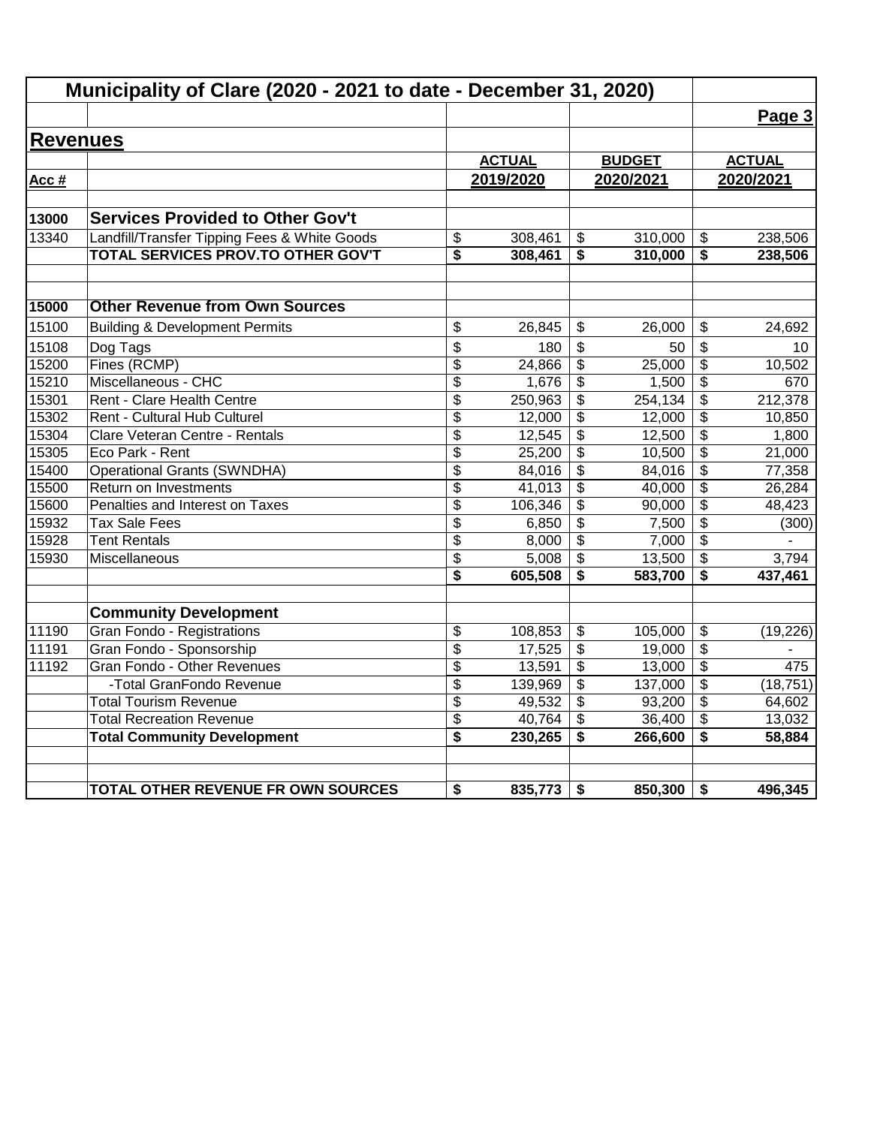|                 | Municipality of Clare (2020 - 2021 to date - December 31, 2020) |                 |               |                         |               |                                      |               |
|-----------------|-----------------------------------------------------------------|-----------------|---------------|-------------------------|---------------|--------------------------------------|---------------|
|                 |                                                                 |                 |               |                         |               |                                      | Page 3        |
| <b>Revenues</b> |                                                                 |                 |               |                         |               |                                      |               |
|                 |                                                                 |                 | <b>ACTUAL</b> |                         | <b>BUDGET</b> |                                      | <b>ACTUAL</b> |
| Acc #           |                                                                 |                 | 2019/2020     |                         | 2020/2021     |                                      | 2020/2021     |
|                 |                                                                 |                 |               |                         |               |                                      |               |
| 13000           | <b>Services Provided to Other Gov't</b>                         |                 |               |                         |               |                                      |               |
| 13340           | Landfill/Transfer Tipping Fees & White Goods                    | \$              | 308,461       | \$                      | 310,000       | \$                                   | 238,506       |
|                 | TOTAL SERVICES PROV.TO OTHER GOV'T                              | \$              | 308,461       | \$                      | 310,000       | \$                                   | 238,506       |
| 15000           | <b>Other Revenue from Own Sources</b>                           |                 |               |                         |               |                                      |               |
| 15100           | <b>Building &amp; Development Permits</b>                       | \$              | 26,845        | \$                      | 26.000        | \$                                   | 24,692        |
| 15108           | Dog Tags                                                        | \$              | 180           | \$                      | 50            | \$                                   | 10            |
| 15200           | Fines (RCMP)                                                    | \$              | 24,866        | \$                      | 25,000        | \$                                   | 10,502        |
| 15210           | Miscellaneous - CHC                                             | $\overline{\$}$ | 1,676         | \$                      | 1,500         | $\overline{\mathbf{S}}$              | 670           |
| 15301           | Rent - Clare Health Centre                                      | \$              | 250,963       | \$                      | 254, 134      | $\overline{\mathcal{S}}$             | 212,378       |
| 15302           | Rent - Cultural Hub Culturel                                    | \$              | 12,000        | \$                      | 12,000        | \$                                   | 10,850        |
| 15304           | Clare Veteran Centre - Rentals                                  | \$              | 12,545        | $\overline{\mathbf{3}}$ | 12,500        | $\overline{\boldsymbol{\mathsf{s}}}$ | 1,800         |
| 15305           | Eco Park - Rent                                                 | \$              | 25,200        | \$                      | 10,500        | $\overline{\mathcal{S}}$             | 21,000        |
| 15400           | <b>Operational Grants (SWNDHA)</b>                              | \$              | 84,016        | \$                      | 84,016        | $\overline{\boldsymbol{\mathsf{s}}}$ | 77,358        |
| 15500           | Return on Investments                                           | $\overline{\$}$ | 41,013        | $\overline{\mathbf{3}}$ | 40,000        | $\overline{\$}$                      | 26,284        |
| 15600           | Penalties and Interest on Taxes                                 | \$              | 106,346       | \$                      | 90,000        | $\overline{\mathbf{S}}$              | 48,423        |
| 15932           | <b>Tax Sale Fees</b>                                            | \$              | 6,850         | \$                      | 7,500         | $\frac{1}{2}$                        | (300)         |
| 15928           | <b>Tent Rentals</b>                                             | \$              | 8,000         | \$                      | 7,000         | \$                                   |               |
| 15930           | Miscellaneous                                                   | \$              | 5,008         | $\overline{\mathbf{3}}$ | 13,500        | \$                                   | 3,794         |
|                 |                                                                 | \$              | 605,508       | \$                      | 583,700       | \$                                   | 437,461       |
|                 | <b>Community Development</b>                                    |                 |               |                         |               |                                      |               |
| 11190           | Gran Fondo - Registrations                                      | \$              | 108,853       | \$                      | 105,000       | \$                                   | (19, 226)     |
| 11191           | Gran Fondo - Sponsorship                                        | \$              | 17,525        | \$                      | 19,000        | $\frac{1}{2}$                        |               |
| 11192           | Gran Fondo - Other Revenues                                     | \$              | 13,591        | \$                      | 13,000        | \$                                   | 475           |
|                 | -Total GranFondo Revenue                                        | \$              | 139,969       | $\overline{\mathbf{e}}$ | 137,000       | $\overline{\boldsymbol{\theta}}$     | (18, 751)     |
|                 | <b>Total Tourism Revenue</b>                                    | \$              | 49,532        | \$                      | 93,200        | \$                                   | 64,602        |
|                 | <b>Total Recreation Revenue</b>                                 | \$              | 40,764        | \$                      | 36,400        | $\overline{\mathbf{s}}$              | 13,032        |
|                 | <b>Total Community Development</b>                              | \$              | 230,265       | \$                      | 266,600       | \$                                   | 58,884        |
|                 | TOTAL OTHER REVENUE FR OWN SOURCES                              | \$              | 835,773       | \$                      | 850,300       | \$                                   | 496,345       |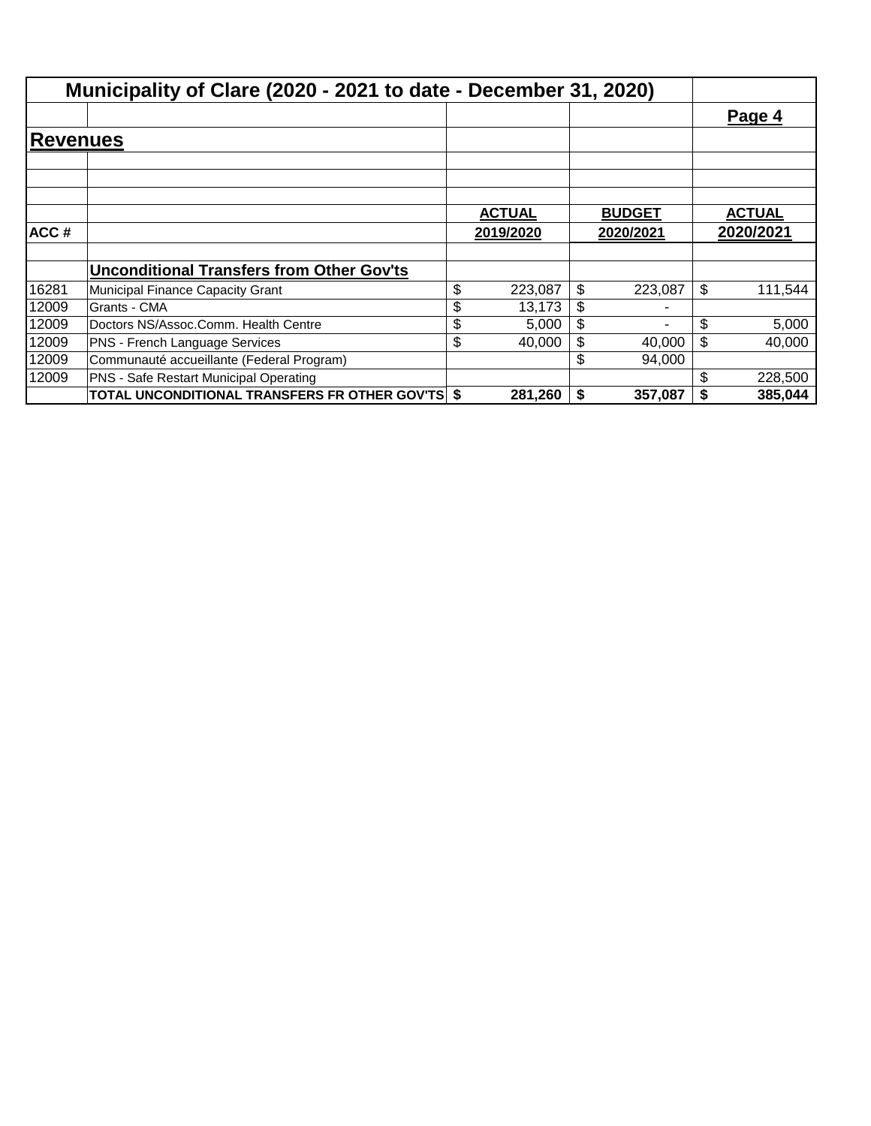|                 | Municipality of Clare (2020 - 2021 to date - December 31, 2020) |               |               |    |               |
|-----------------|-----------------------------------------------------------------|---------------|---------------|----|---------------|
|                 |                                                                 |               |               |    | Page 4        |
| <b>Revenues</b> |                                                                 |               |               |    |               |
|                 |                                                                 |               |               |    |               |
|                 |                                                                 |               |               |    |               |
|                 |                                                                 | <b>ACTUAL</b> | <b>BUDGET</b> |    | <b>ACTUAL</b> |
| ACC#            |                                                                 | 2019/2020     | 2020/2021     |    | 2020/2021     |
|                 |                                                                 |               |               |    |               |
|                 | <b>Unconditional Transfers from Other Gov'ts</b>                |               |               |    |               |
| 16281           | Municipal Finance Capacity Grant                                | \$<br>223,087 | \$<br>223,087 | \$ | 111,544       |
| 12009           | Grants - CMA                                                    | \$<br>13,173  | \$            |    |               |
| 12009           | Doctors NS/Assoc.Comm. Health Centre                            | \$<br>5,000   | \$<br>٠       | \$ | 5,000         |
| 12009           | PNS - French Language Services                                  | \$<br>40,000  | \$<br>40,000  | \$ | 40,000        |
| 12009           | Communauté accueillante (Federal Program)                       |               | \$<br>94,000  |    |               |
| 12009           | PNS - Safe Restart Municipal Operating                          |               |               | \$ | 228,500       |
|                 | TOTAL UNCONDITIONAL TRANSFERS FR OTHER GOV'TS \$                | 281,260       | \$<br>357,087 | S  | 385,044       |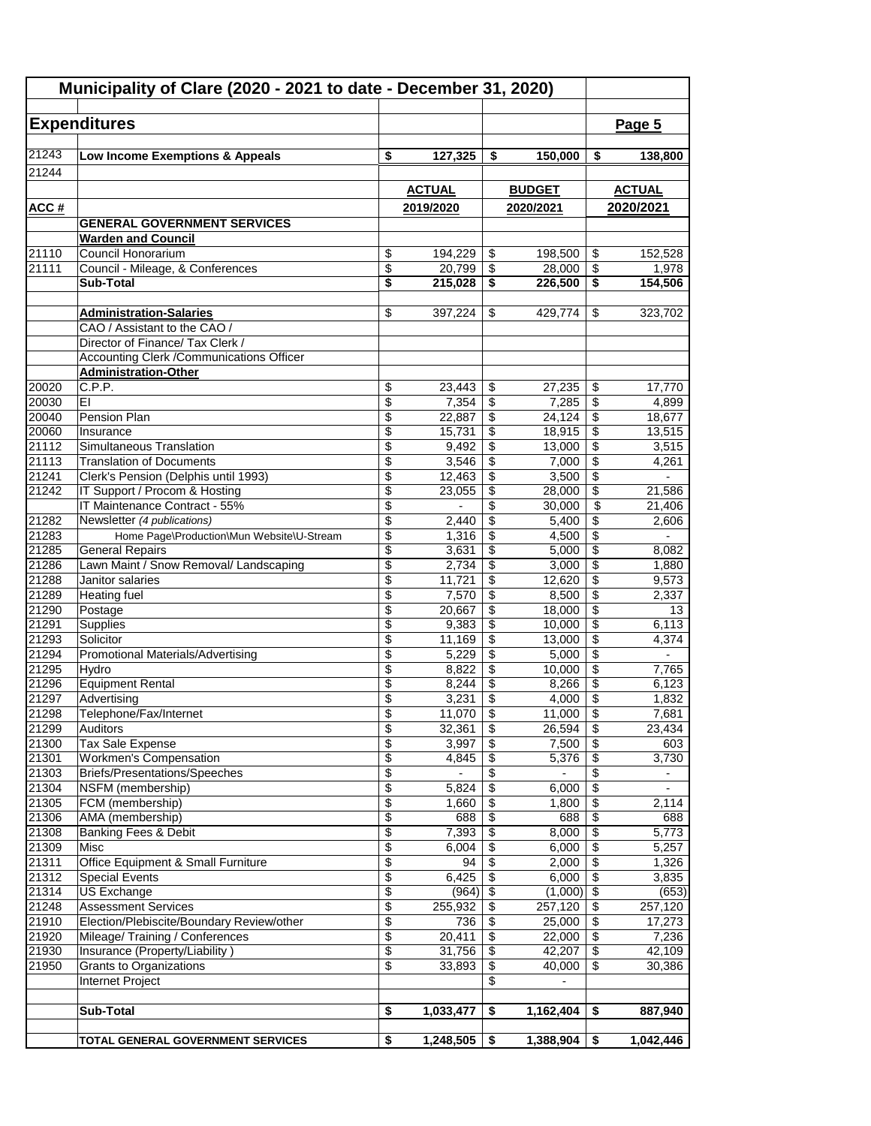| Municipality of Clare (2020 - 2021 to date - December 31, 2020) |                                                 |                 |                  |                 |                     |                                         |                          |
|-----------------------------------------------------------------|-------------------------------------------------|-----------------|------------------|-----------------|---------------------|-----------------------------------------|--------------------------|
|                                                                 |                                                 |                 |                  |                 |                     |                                         |                          |
|                                                                 | <b>Expenditures</b>                             |                 |                  |                 |                     |                                         | Page 5                   |
| 21243                                                           | Low Income Exemptions & Appeals                 | \$              | 127,325          | \$              | 150,000             | \$                                      | 138,800                  |
| 21244                                                           |                                                 |                 |                  |                 |                     |                                         |                          |
|                                                                 |                                                 |                 | <b>ACTUAL</b>    |                 | <b>BUDGET</b>       |                                         | <b>ACTUAL</b>            |
|                                                                 |                                                 |                 |                  |                 |                     |                                         |                          |
| <u>ACC#</u>                                                     |                                                 |                 | 2019/2020        |                 | 2020/2021           |                                         | 2020/2021                |
|                                                                 | <b>GENERAL GOVERNMENT SERVICES</b>              |                 |                  |                 |                     |                                         |                          |
| 21110                                                           | <b>Warden and Council</b><br>Council Honorarium | \$              | 194,229          | \$              | 198,500             | \$                                      | 152,528                  |
| 21111                                                           | Council - Mileage, & Conferences                | \$              | 20,799           | \$              | 28,000              | \$                                      | 1,978                    |
|                                                                 | Sub-Total                                       | \$              | 215,028          | \$              | 226,500             | \$                                      | 154,506                  |
|                                                                 |                                                 |                 |                  |                 |                     |                                         |                          |
|                                                                 | <b>Administration-Salaries</b>                  | \$              | 397,224          | \$              | 429,774             | \$                                      | 323,702                  |
|                                                                 | CAO / Assistant to the CAO /                    |                 |                  |                 |                     |                                         |                          |
|                                                                 | Director of Finance/ Tax Clerk /                |                 |                  |                 |                     |                                         |                          |
|                                                                 | <b>Accounting Clerk /Communications Officer</b> |                 |                  |                 |                     |                                         |                          |
|                                                                 | <b>Administration-Other</b>                     |                 |                  |                 |                     |                                         |                          |
| 20020                                                           | C.P.P.                                          | \$              | 23,443           | \$              | 27,235              | \$                                      | 17,770                   |
| 20030                                                           | EI                                              | \$              | 7,354            | \$              | 7,285               | \$                                      | 4,899                    |
| 20040                                                           | Pension Plan                                    | \$              | 22,887           | \$              | 24,124              | $\overline{\mathcal{S}}$                | 18,677                   |
| 20060<br>21112                                                  | Insurance<br>Simultaneous Translation           | \$<br>\$        | 15,731<br>9,492  | \$<br>\$        | 18,915<br>13,000    | \$<br>\$                                | 13,515<br>3,515          |
| 21113                                                           | <b>Translation of Documents</b>                 | \$              | 3,546            | \$              | 7,000               | \$                                      | 4,261                    |
| 21241                                                           | Clerk's Pension (Delphis until 1993)            | \$              | 12,463           | \$              | 3,500               | \$                                      |                          |
| 21242                                                           | IT Support / Procom & Hosting                   | \$              | 23,055           | \$              | 28,000              | \$                                      | 21,586                   |
|                                                                 | IT Maintenance Contract - 55%                   | \$              |                  | \$              | 30,000              | \$                                      | 21,406                   |
| 21282                                                           | Newsletter (4 publications)                     | \$              | 2,440            | \$              | 5,400               | \$                                      | 2,606                    |
| 21283                                                           | Home Page\Production\Mun Website\U-Stream       | \$              | 1,316            | \$              | 4,500               | $\overline{\$}$                         | $\overline{\phantom{a}}$ |
| 21285                                                           | <b>General Repairs</b>                          | \$              | 3,631            | \$              | 5,000               | $\overline{\$}$                         | 8,082                    |
| 21286                                                           | Lawn Maint / Snow Removal/ Landscaping          | \$              | 2,734            | \$              | 3,000               | $\overline{\boldsymbol{\theta}}$        | 1,880                    |
| 21288                                                           | Janitor salaries                                | $\overline{\$}$ | 11,721           | \$              | 12,620              | $\overline{\mathcal{S}}$                | 9,573                    |
| 21289                                                           | <b>Heating fuel</b>                             | \$              | 7,570            | \$              | 8,500               | $\overline{\$}$                         | 2,337                    |
| 21290                                                           | Postage                                         | \$              | 20,667           | \$              | 18,000              | \$                                      | 13                       |
| 21291                                                           | Supplies                                        | \$              | 9,383            | \$              | 10,000              | \$                                      | 6,113                    |
| 21293                                                           | Solicitor                                       | \$              | 11,169           | \$              | 13,000              | $\boldsymbol{\mathsf{S}}$               | 4,374                    |
| 21294                                                           | <b>Promotional Materials/Advertising</b>        | \$              | 5,229            | \$              | 5,000               | $\overline{\$}$                         |                          |
| 21295<br>21296                                                  | Hydro<br><b>Equipment Rental</b>                | \$<br>\$        | 8,822<br>8,244   | \$<br>\$        | 10,000<br>8,266     | \$<br>$\overline{\mathcal{L}}$          | 7,765<br>6,123           |
| 21297                                                           | Advertising                                     | \$              | 3,231            | \$              | 4,000               | $\overline{\$}$                         | 1,832                    |
| 21298                                                           | Telephone/Fax/Internet                          | \$              | $11,070$ \$      |                 | $11,000$ \$         |                                         | 7,681                    |
| 21299                                                           | Auditors                                        | \$              | 32,361           | \$              | 26,594              | \$                                      | 23,434                   |
| 21300                                                           | Tax Sale Expense                                | \$              | 3,997            | \$              | 7,500               | \$                                      | 603                      |
| 21301                                                           | <b>Workmen's Compensation</b>                   | $\overline{\$}$ | 4,845            | \$              | 5,376               | $\overline{\$}$                         | 3,730                    |
| 21303                                                           | Briefs/Presentations/Speeches                   | \$              |                  | \$              |                     | \$                                      |                          |
| 21304                                                           | NSFM (membership)                               | \$              | 5.824            | \$              | 6,000               | $\overline{\mathbf{S}}$                 | $\overline{\phantom{0}}$ |
| 21305                                                           | FCM (membership)                                | \$              | 1,660            | \$              | 1,800               | $\sqrt{2}$                              | 2,114                    |
| 21306                                                           | AMA (membership)                                | \$              | 688              | \$              | 688                 | $\overline{\boldsymbol{\mathfrak{s}}}$  | 688                      |
| 21308                                                           | Banking Fees & Debit                            | \$              | 7,393            | \$              | 8,000               | $\overline{\boldsymbol{\mathfrak{s}}}$  | 5,773                    |
| 21309                                                           | Misc                                            | \$              | 6,004            | \$              | 6,000               | $\overline{\mathbf{3}}$                 | 5,257                    |
| 21311                                                           | Office Equipment & Small Furniture              | \$              | 94               | \$              | 2,000               | $\overline{\$}$                         | 1,326                    |
| 21312                                                           | <b>Special Events</b>                           | \$              | 6,425            | $\overline{\$}$ | 6,000               | $\overline{\$}$                         | 3,835                    |
| 21314<br>21248                                                  | <b>US Exchange</b><br>Assessment Services       | \$<br>\$        | (964)<br>255,932 | \$<br>\$        | (1,000)<br>257,120  | $\sqrt{2}$<br>$\boldsymbol{\mathsf{S}}$ | (653)<br>257,120         |
| 21910                                                           | Election/Plebiscite/Boundary Review/other       | \$              | 736              | \$              | 25,000              | \$                                      | 17,273                   |
| 21920                                                           | Mileage/Training / Conferences                  | \$              | 20,411           | \$              | 22,000              | $\overline{\boldsymbol{\mathfrak{s}}}$  | 7,236                    |
| 21930                                                           | Insurance (Property/Liability)                  | $\overline{\$}$ | 31,756           | \$              | 42,207              | $\sqrt[6]{\frac{1}{2}}$                 | 42,109                   |
| 21950                                                           | Grants to Organizations                         | \$              | 33,893           | \$              | $\overline{40,000}$ | \$                                      | 30,386                   |
|                                                                 | Internet Project                                |                 |                  | \$              | $\blacksquare$      |                                         |                          |
|                                                                 |                                                 |                 |                  |                 |                     |                                         |                          |
|                                                                 | <b>Sub-Total</b>                                | \$              | 1,033,477        | \$              | 1,162,404           | \$                                      | 887,940                  |
|                                                                 |                                                 |                 |                  |                 |                     |                                         |                          |
|                                                                 | TOTAL GENERAL GOVERNMENT SERVICES               | \$              | 1,248,505        | \$              | 1,388,904           | \$                                      | 1,042,446                |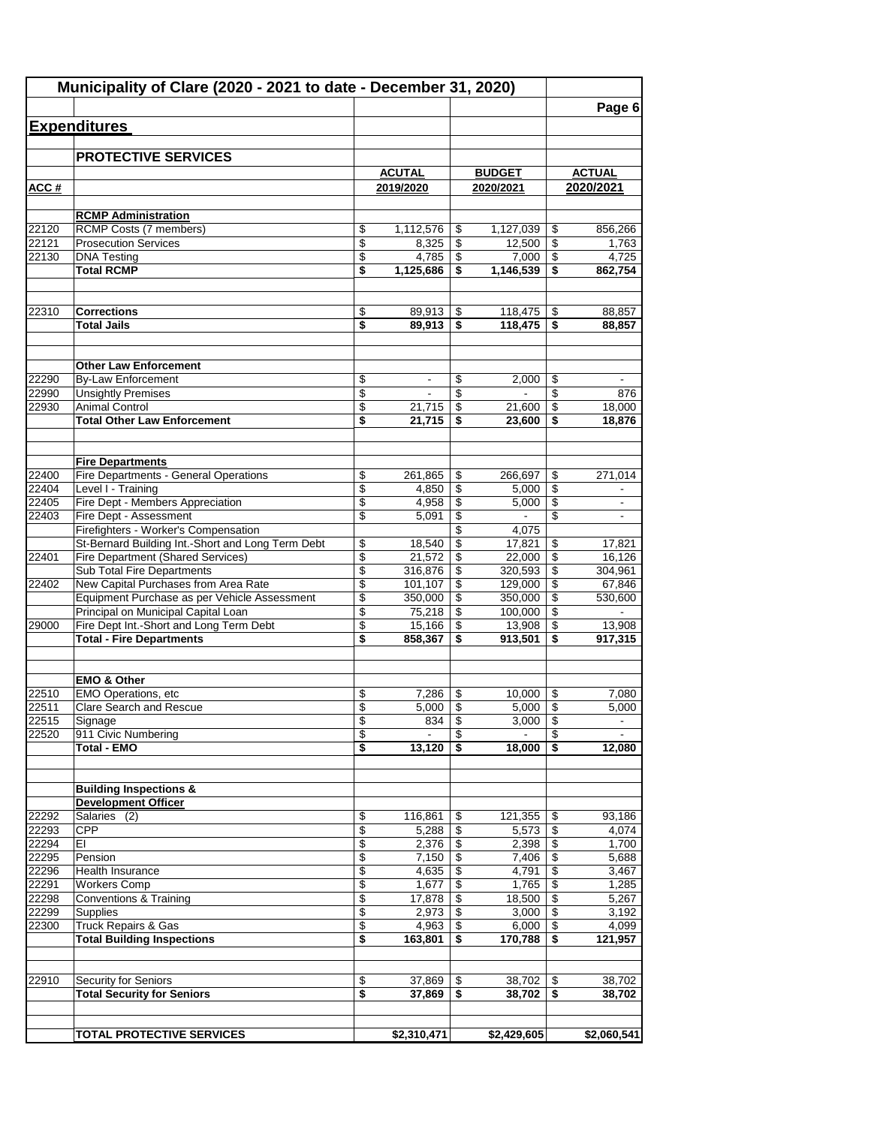|       | Municipality of Clare (2020 - 2021 to date - December 31, 2020)                |          |                  |                 |                   |          |                   |
|-------|--------------------------------------------------------------------------------|----------|------------------|-----------------|-------------------|----------|-------------------|
|       |                                                                                |          |                  |                 |                   |          | Page 6            |
|       | <b>Expenditures</b>                                                            |          |                  |                 |                   |          |                   |
|       | <b>PROTECTIVE SERVICES</b>                                                     |          |                  |                 |                   |          |                   |
|       |                                                                                |          | <b>ACUTAL</b>    |                 | <b>BUDGET</b>     |          | <b>ACTUAL</b>     |
| ACC#  |                                                                                |          | 2019/2020        |                 | 2020/2021         |          | 2020/2021         |
|       |                                                                                |          |                  |                 |                   |          |                   |
|       | <b>RCMP Administration</b>                                                     |          |                  |                 |                   |          |                   |
| 22120 | RCMP Costs (7 members)                                                         | \$       | 1,112,576        | \$              | 1,127,039         | \$       | 856,266           |
| 22121 | <b>Prosecution Services</b>                                                    | \$       | 8,325            | \$              | 12,500            | \$       | 1,763             |
| 22130 | <b>DNA Testing</b>                                                             | \$       | 4,785            | \$              | 7,000             | \$       | 4.725             |
|       | <b>Total RCMP</b>                                                              | \$       | 1,125,686        | \$              | 1,146,539         | \$       | 862,754           |
| 22310 | <b>Corrections</b>                                                             | \$       | 89,913           | \$              | 118,475           | \$       | 88,857            |
|       | <b>Total Jails</b>                                                             | \$       | 89,913           | \$              | 118,475           | \$       | 88,857            |
|       |                                                                                |          |                  |                 |                   |          |                   |
|       | <b>Other Law Enforcement</b>                                                   |          |                  |                 |                   |          |                   |
| 22290 | <b>By-Law Enforcement</b>                                                      | \$       | -                | \$              | 2,000             | \$       |                   |
| 22990 | <b>Unsightly Premises</b>                                                      | \$       |                  | \$              |                   | \$       | 876               |
| 22930 | <b>Animal Control</b>                                                          | \$       | 21,715           | \$              | 21,600            | \$       | 18,000            |
|       | <b>Total Other Law Enforcement</b>                                             | \$       | 21.715           | \$              | 23,600            | \$       | 18,876            |
|       | <b>Fire Departments</b>                                                        |          |                  |                 |                   |          |                   |
| 22400 | Fire Departments - General Operations                                          | \$       | 261,865          | \$              | 266,697           | \$       | 271,014           |
| 22404 | Level I - Training                                                             | \$       | 4,850            | \$              | 5,000             | \$       |                   |
| 22405 | Fire Dept - Members Appreciation                                               | \$       | 4,958            | \$              | 5,000             | \$       |                   |
| 22403 | Fire Dept - Assessment                                                         | \$       | 5,091            | \$              |                   | \$       | ۰                 |
|       | Firefighters - Worker's Compensation                                           |          |                  | $\overline{\$}$ | 4,075             |          |                   |
|       | St-Bernard Building Int.-Short and Long Term Debt                              | \$       | 18,540           | \$              | 17,821            | \$       | 17,821            |
| 22401 | Fire Department (Shared Services)                                              | \$       | 21,572           | \$              | 22,000            | \$       | 16,126            |
|       | Sub Total Fire Departments                                                     | \$       | 316,876          | \$              | 320,593           | \$       | 304,961           |
| 22402 | New Capital Purchases from Area Rate                                           | \$       | 101,107          | \$              | 129,000           | \$       | 67,846            |
|       | Equipment Purchase as per Vehicle Assessment                                   | \$       | 350,000          | \$              | 350,000           | \$       | 530,600           |
| 29000 | Principal on Municipal Capital Loan<br>Fire Dept Int.-Short and Long Term Debt | \$<br>\$ | 75,218<br>15,166 | \$<br>\$        | 100,000           | \$<br>\$ |                   |
|       | <b>Total - Fire Departments</b>                                                | \$       | 858,367          | \$              | 13,908<br>913,501 | \$       | 13,908<br>917,315 |
|       |                                                                                |          |                  |                 |                   |          |                   |
|       | <b>EMO &amp; Other</b>                                                         |          |                  |                 |                   |          |                   |
| 22510 | EMO Operations, etc                                                            | \$       | 7,286            | \$              | 10,000            | \$       | 7,080             |
| 22511 | <b>Clare Search and Rescue</b>                                                 | \$       | 5,000            | \$              | 5,000             | \$       | 5,000             |
| 22515 | Signage                                                                        | \$       | 834              | \$              | 3,000             | \$       | $\blacksquare$    |
| 22520 | 911 Civic Numbering                                                            | \$       | $\blacksquare$   | \$              | $\blacksquare$    | \$       |                   |
|       | <b>Total - EMO</b>                                                             | \$       | 13,120           | \$              | 18,000            | \$       | 12,080            |
|       | <b>Building Inspections &amp;</b>                                              |          |                  |                 |                   |          |                   |
|       | <b>Development Officer</b>                                                     |          |                  |                 |                   |          |                   |
| 22292 | Salaries (2)                                                                   | \$       | 116,861          | \$              | 121,355           | \$       | 93,186            |
| 22293 | CPP                                                                            | \$       | 5,288            | \$              | 5,573             | \$       | 4,074             |
| 22294 | EI                                                                             | \$       | 2,376            | \$              | 2,398             | \$       | 1,700             |
| 22295 | Pension                                                                        | \$       | 7,150            | \$              | 7,406             | \$       | 5,688             |
| 22296 | Health Insurance                                                               | \$       | 4,635            | \$              | 4,791             | \$       | 3,467             |
| 22291 | <b>Workers Comp</b>                                                            | \$       | 1,677            | \$              | 1,765             | \$       | 1,285             |
| 22298 | <b>Conventions &amp; Training</b>                                              | \$       | 17,878           | \$              | 18,500            | \$       | 5,267             |
| 22299 | <b>Supplies</b>                                                                | \$       | 2,973            | \$              | 3,000             | \$       | 3,192             |
| 22300 | Truck Repairs & Gas                                                            | \$       | 4,963            | \$              | 6,000             | \$       | 4,099             |
|       | <b>Total Building Inspections</b>                                              | \$       | 163,801          | \$              | 170,788           | \$       | 121,957           |
| 22910 | <b>Security for Seniors</b>                                                    | \$       | 37,869           | \$              | 38,702            | \$       | 38,702            |
|       | <b>Total Security for Seniors</b>                                              | \$       | 37,869           | \$              | 38,702            | \$       | 38,702            |
|       |                                                                                |          |                  |                 |                   |          |                   |
|       | <b>TOTAL PROTECTIVE SERVICES</b>                                               |          | \$2,310,471      |                 | \$2,429,605       |          | \$2,060,541       |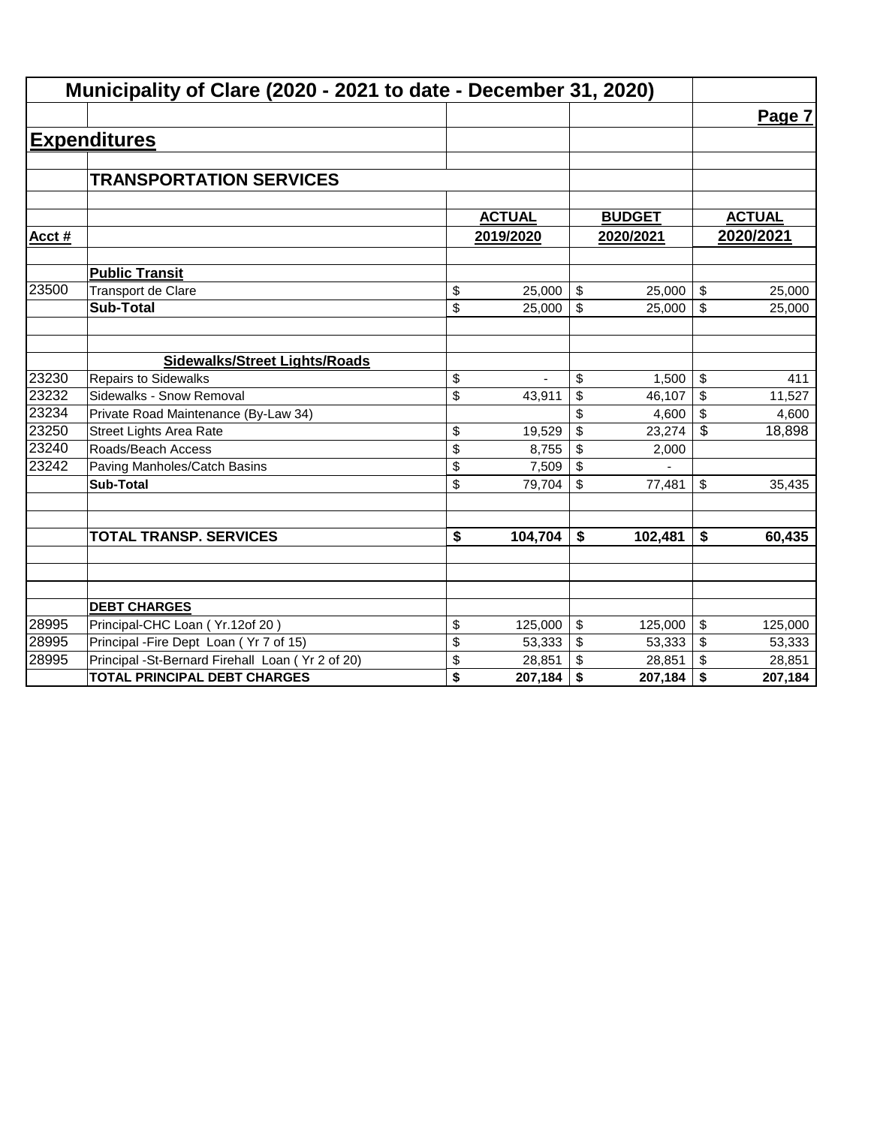|       | Municipality of Clare (2020 - 2021 to date - December 31, 2020) |                                      |               |                         |               |               |
|-------|-----------------------------------------------------------------|--------------------------------------|---------------|-------------------------|---------------|---------------|
|       |                                                                 |                                      |               |                         |               | Page 7        |
|       | <b>Expenditures</b>                                             |                                      |               |                         |               |               |
|       |                                                                 |                                      |               |                         |               |               |
|       | <b>TRANSPORTATION SERVICES</b>                                  |                                      |               |                         |               |               |
|       |                                                                 |                                      |               |                         |               |               |
|       |                                                                 |                                      | <b>ACTUAL</b> |                         | <b>BUDGET</b> | <b>ACTUAL</b> |
| Acct# |                                                                 |                                      | 2019/2020     |                         | 2020/2021     | 2020/2021     |
|       | <b>Public Transit</b>                                           |                                      |               |                         |               |               |
| 23500 | <b>Transport de Clare</b>                                       | \$                                   | 25,000        | \$                      | 25,000        | \$<br>25,000  |
|       | <b>Sub-Total</b>                                                | \$                                   | 25,000        | $\mathfrak{S}$          | 25,000        | \$<br>25,000  |
|       |                                                                 |                                      |               |                         |               |               |
|       | <b>Sidewalks/Street Lights/Roads</b>                            |                                      |               |                         |               |               |
| 23230 | <b>Repairs to Sidewalks</b>                                     | \$                                   |               | \$                      | 1,500         | \$<br>411     |
| 23232 | Sidewalks - Snow Removal                                        | \$                                   | 43,911        | \$                      | 46,107        | \$<br>11,527  |
| 23234 | Private Road Maintenance (By-Law 34)                            |                                      |               | \$                      | 4,600         | \$<br>4,600   |
| 23250 | <b>Street Lights Area Rate</b>                                  | \$                                   | 19,529        | \$                      | 23,274        | \$<br>18,898  |
| 23240 | Roads/Beach Access                                              | \$                                   | 8,755         | \$                      | 2,000         |               |
| 23242 | Paving Manholes/Catch Basins                                    | \$                                   | 7,509         | \$                      |               |               |
|       | <b>Sub-Total</b>                                                | \$                                   | 79,704        | \$                      | 77,481        | \$<br>35,435  |
|       |                                                                 |                                      |               |                         |               |               |
|       | <b>TOTAL TRANSP. SERVICES</b>                                   | $\overline{\boldsymbol{\mathsf{s}}}$ | 104,704       | \$                      | 102,481       | \$<br>60,435  |
|       |                                                                 |                                      |               |                         |               |               |
|       |                                                                 |                                      |               |                         |               |               |
|       | <b>DEBT CHARGES</b>                                             |                                      |               |                         |               |               |
| 28995 | Principal-CHC Loan (Yr.12of 20)                                 | \$                                   | 125,000       | $\sqrt[6]{\frac{1}{2}}$ | 125,000       | \$<br>125,000 |
| 28995 | Principal - Fire Dept Loan (Yr 7 of 15)                         | \$                                   | 53,333        | \$                      | 53,333        | \$<br>53,333  |
| 28995 | Principal -St-Bernard Firehall Loan (Yr 2 of 20)                | \$                                   | 28,851        | \$                      | 28,851        | \$<br>28,851  |
|       | <b>TOTAL PRINCIPAL DEBT CHARGES</b>                             | \$                                   | 207,184       | \$                      | 207,184       | \$<br>207,184 |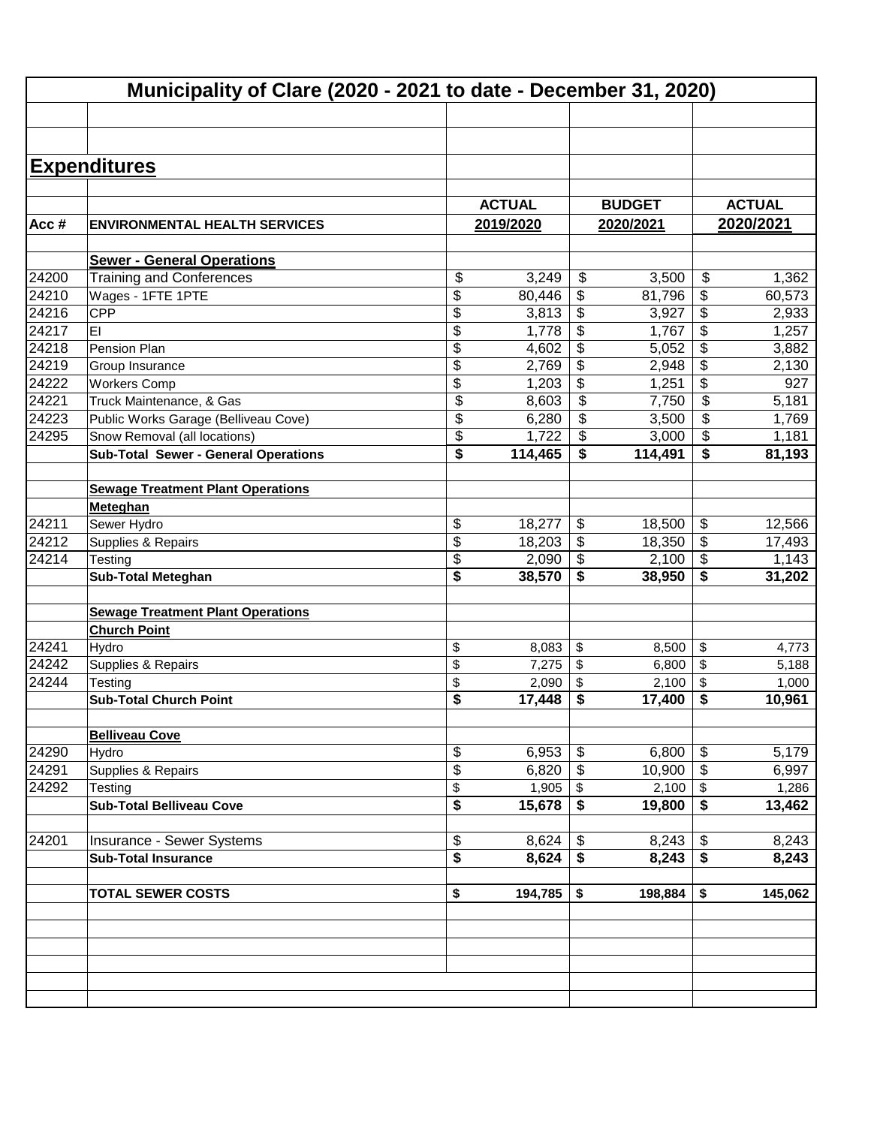|       | Municipality of Clare (2020 - 2021 to date - December 31, 2020) |               |                             |               |                                      |               |
|-------|-----------------------------------------------------------------|---------------|-----------------------------|---------------|--------------------------------------|---------------|
|       |                                                                 |               |                             |               |                                      |               |
|       |                                                                 |               |                             |               |                                      |               |
|       |                                                                 |               |                             |               |                                      |               |
|       | <b>Expenditures</b>                                             |               |                             |               |                                      |               |
|       |                                                                 | <b>ACTUAL</b> |                             | <b>BUDGET</b> |                                      | <b>ACTUAL</b> |
|       |                                                                 |               |                             |               |                                      |               |
| Acc#  | <b>ENVIRONMENTAL HEALTH SERVICES</b>                            | 2019/2020     |                             | 2020/2021     |                                      | 2020/2021     |
|       | <b>Sewer - General Operations</b>                               |               |                             |               |                                      |               |
| 24200 | <b>Training and Conferences</b>                                 | \$<br>3,249   | \$                          | 3,500         | \$                                   | 1,362         |
| 24210 | Wages - 1FTE 1PTE                                               | \$<br>80,446  | \$                          | 81,796        | \$                                   | 60,573        |
| 24216 | CPP                                                             | \$<br>3,813   | \$                          | 3,927         | \$                                   | 2,933         |
| 24217 | EI                                                              | \$<br>1,778   | \$                          | 1,767         | \$                                   | 1,257         |
| 24218 | Pension Plan                                                    | \$<br>4,602   | \$                          | 5,052         | \$                                   | 3,882         |
| 24219 | Group Insurance                                                 | \$<br>2,769   | \$                          | 2,948         | \$                                   | 2,130         |
| 24222 | <b>Workers Comp</b>                                             | \$<br>1,203   | \$                          | 1,251         | \$                                   | 927           |
| 24221 | Truck Maintenance, & Gas                                        | \$<br>8,603   | $\overline{\mathbf{S}}$     | 7,750         | \$                                   | 5,181         |
| 24223 | Public Works Garage (Belliveau Cove)                            | \$<br>6,280   | $\overline{\$}$             | 3,500         | \$                                   | 1,769         |
| 24295 | Snow Removal (all locations)                                    | \$<br>1,722   | $\overline{\mathbf{s}}$     | 3,000         | \$                                   | 1,181         |
|       | <b>Sub-Total Sewer - General Operations</b>                     | \$<br>114,465 | $\overline{\boldsymbol{s}}$ | 114,491       | \$                                   | 81,193        |
|       |                                                                 |               |                             |               |                                      |               |
|       | <b>Sewage Treatment Plant Operations</b>                        |               |                             |               |                                      |               |
|       | Meteghan                                                        |               |                             |               |                                      |               |
| 24211 | Sewer Hydro                                                     | \$<br>18,277  | \$                          | 18,500        | \$                                   | 12,566        |
| 24212 | Supplies & Repairs                                              | \$<br>18,203  | \$                          | 18,350        | \$                                   | 17,493        |
| 24214 | Testing                                                         | \$<br>2,090   | $\frac{1}{2}$               | 2,100         | \$                                   | 1,143         |
|       | <b>Sub-Total Meteghan</b>                                       | \$<br>38,570  | \$                          | 38,950        | \$                                   | 31,202        |
|       |                                                                 |               |                             |               |                                      |               |
|       | <b>Sewage Treatment Plant Operations</b><br><b>Church Point</b> |               |                             |               |                                      |               |
| 24241 | Hydro                                                           | \$<br>8,083   | \$                          | 8,500         | \$                                   | 4,773         |
| 24242 | Supplies & Repairs                                              | \$<br>7,275   | \$                          | 6,800         | \$                                   | 5,188         |
| 24244 | Testing                                                         | \$<br>2,090   | \$                          | 2,100         | \$                                   | 1,000         |
|       | <b>Sub-Total Church Point</b>                                   | \$<br>17,448  | \$                          | 17,400        | $\overline{\boldsymbol{\mathsf{s}}}$ | 10,961        |
|       |                                                                 |               |                             |               |                                      |               |
|       | <b>Belliveau Cove</b>                                           |               |                             |               |                                      |               |
| 24290 | Hydro                                                           | \$<br>6,953   | \$                          | 6,800         | \$                                   | 5,179         |
| 24291 | Supplies & Repairs                                              | \$<br>6,820   | \$                          | 10,900        | \$                                   | 6,997         |
| 24292 | Testing                                                         | \$<br>1,905   | \$                          | 2,100         | \$                                   | 1,286         |
|       | <b>Sub-Total Belliveau Cove</b>                                 | \$<br>15,678  | S                           | 19,800        | \$                                   | 13,462        |
|       |                                                                 |               |                             |               |                                      |               |
| 24201 | Insurance - Sewer Systems                                       | \$<br>8,624   | \$                          | 8,243         | \$                                   | 8,243         |
|       | <b>Sub-Total Insurance</b>                                      | \$<br>8,624   | \$                          | 8,243         | \$                                   | 8,243         |
|       |                                                                 |               |                             |               |                                      |               |
|       | <b>TOTAL SEWER COSTS</b>                                        | \$<br>194,785 | \$                          | 198,884       | \$                                   | 145,062       |
|       |                                                                 |               |                             |               |                                      |               |
|       |                                                                 |               |                             |               |                                      |               |
|       |                                                                 |               |                             |               |                                      |               |
|       |                                                                 |               |                             |               |                                      |               |
|       |                                                                 |               |                             |               |                                      |               |
|       |                                                                 |               |                             |               |                                      |               |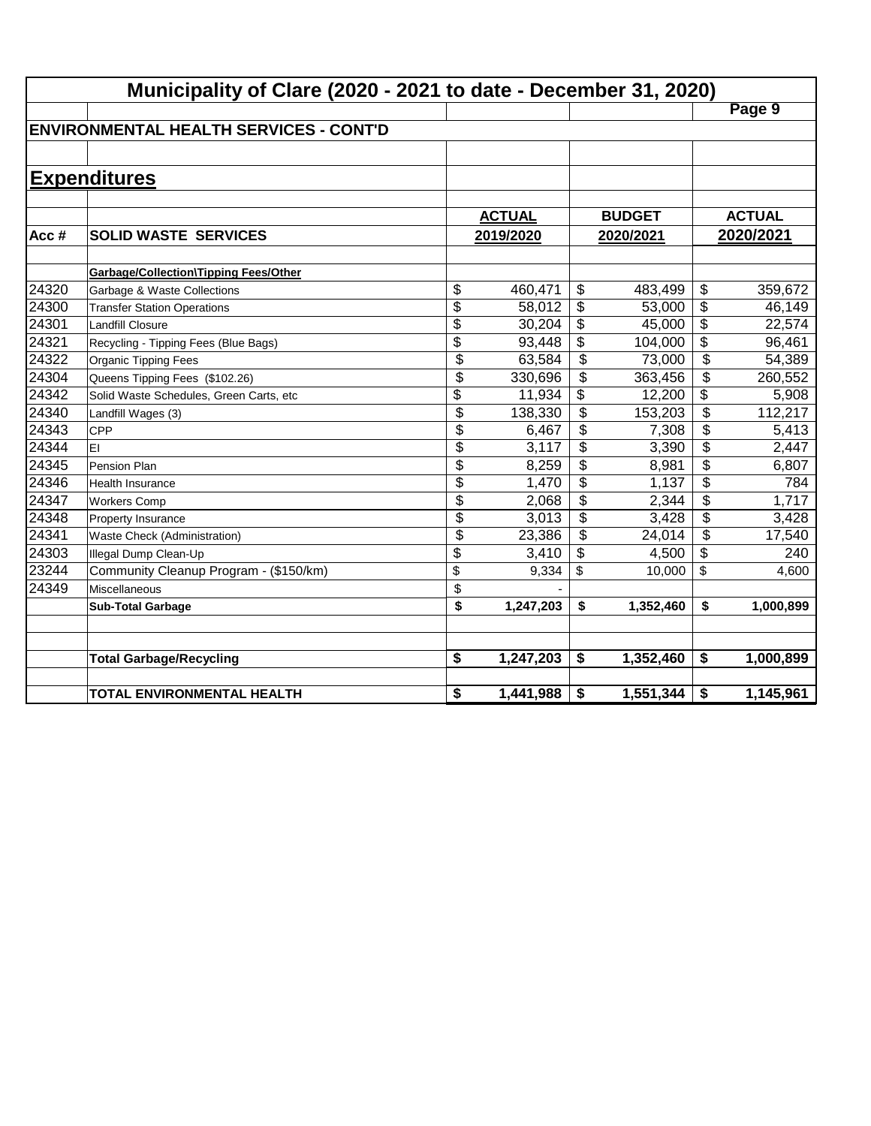|       | Municipality of Clare (2020 - 2021 to date - December 31, 2020) |                 |               |                          |               |                           |               |  |  |  |
|-------|-----------------------------------------------------------------|-----------------|---------------|--------------------------|---------------|---------------------------|---------------|--|--|--|
|       |                                                                 |                 |               |                          |               |                           | Page 9        |  |  |  |
|       | <b>ENVIRONMENTAL HEALTH SERVICES - CONT'D</b>                   |                 |               |                          |               |                           |               |  |  |  |
|       |                                                                 |                 |               |                          |               |                           |               |  |  |  |
|       | <b>Expenditures</b>                                             |                 |               |                          |               |                           |               |  |  |  |
|       |                                                                 |                 |               |                          |               |                           |               |  |  |  |
|       |                                                                 |                 | <b>ACTUAL</b> |                          | <b>BUDGET</b> |                           | <b>ACTUAL</b> |  |  |  |
| Acc#  | <b>SOLID WASTE SERVICES</b>                                     |                 | 2019/2020     |                          | 2020/2021     |                           | 2020/2021     |  |  |  |
|       |                                                                 |                 |               |                          |               |                           |               |  |  |  |
|       | <b>Garbage/Collection\Tipping Fees/Other</b>                    |                 |               |                          |               |                           |               |  |  |  |
| 24320 | Garbage & Waste Collections                                     | \$              | 460,471       | \$                       | 483,499       | \$                        | 359,672       |  |  |  |
| 24300 | <b>Transfer Station Operations</b>                              | \$              | 58,012        | \$                       | 53,000        | \$                        | 46,149        |  |  |  |
| 24301 | <b>Landfill Closure</b>                                         | \$              | 30,204        | \$                       | 45,000        | $\overline{\$}$           | 22,574        |  |  |  |
| 24321 | Recycling - Tipping Fees (Blue Bags)                            | \$              | 93,448        | \$                       | 104,000       | $\overline{\mathcal{L}}$  | 96,461        |  |  |  |
| 24322 | Organic Tipping Fees                                            | \$              | 63,584        | \$                       | 73,000        | $\overline{\$}$           | 54,389        |  |  |  |
| 24304 | Queens Tipping Fees (\$102.26)                                  | \$              | 330,696       | \$                       | 363,456       | \$                        | 260,552       |  |  |  |
| 24342 | Solid Waste Schedules, Green Carts, etc                         | \$              | 11,934        | \$                       | 12,200        | $\overline{\mathcal{L}}$  | 5,908         |  |  |  |
| 24340 | Landfill Wages (3)                                              | $\overline{\$}$ | 138,330       | $\overline{\mathcal{L}}$ | 153,203       | $\overline{\mathfrak{s}}$ | 112,217       |  |  |  |
| 24343 | <b>CPP</b>                                                      | \$              | 6,467         | \$                       | 7,308         | \$                        | 5,413         |  |  |  |
| 24344 | EI                                                              | \$              | 3,117         | \$                       | 3,390         | \$                        | 2,447         |  |  |  |
| 24345 | Pension Plan                                                    | \$              | 8,259         | \$                       | 8,981         | \$                        | 6,807         |  |  |  |
| 24346 | Health Insurance                                                | \$              | 1,470         | \$                       | 1,137         | \$                        | 784           |  |  |  |
| 24347 | <b>Workers Comp</b>                                             | \$              | 2,068         | \$                       | 2,344         | \$                        | 1,717         |  |  |  |
| 24348 | Property Insurance                                              | \$              | 3,013         | \$                       | 3,428         | \$                        | 3,428         |  |  |  |
| 24341 | <b>Waste Check (Administration)</b>                             | \$              | 23,386        | \$                       | 24,014        | \$                        | 17,540        |  |  |  |
| 24303 | Illegal Dump Clean-Up                                           | \$              | 3,410         | \$                       | 4,500         | $\overline{\mathbf{e}}$   | 240           |  |  |  |
| 23244 | Community Cleanup Program - (\$150/km)                          | \$              | 9,334         | \$                       | 10,000        | \$                        | 4,600         |  |  |  |
| 24349 | Miscellaneous                                                   | \$              |               |                          |               |                           |               |  |  |  |
|       | <b>Sub-Total Garbage</b>                                        | \$              | 1,247,203     | \$                       | 1,352,460     | \$                        | 1,000,899     |  |  |  |
|       |                                                                 |                 |               |                          |               |                           |               |  |  |  |
|       | <b>Total Garbage/Recycling</b>                                  | \$              | 1,247,203     | \$                       | 1,352,460     | \$                        | 1,000,899     |  |  |  |
|       |                                                                 |                 |               |                          |               |                           |               |  |  |  |
|       | <b>TOTAL ENVIRONMENTAL HEALTH</b>                               | \$              | 1,441,988     | \$                       | 1,551,344     | $\boldsymbol{\$}$         | 1,145,961     |  |  |  |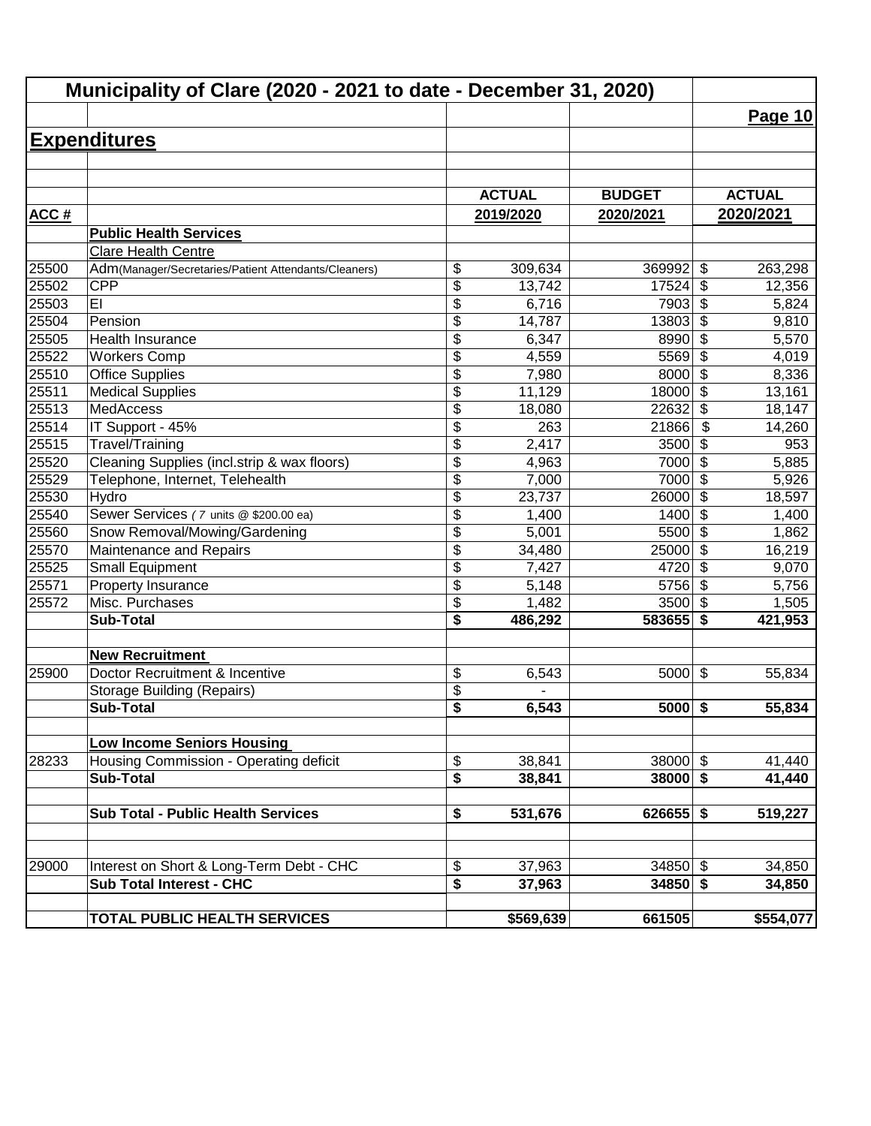| Municipality of Clare (2020 - 2021 to date - December 31, 2020) |                                                      |                 |               |               |                                  |               |
|-----------------------------------------------------------------|------------------------------------------------------|-----------------|---------------|---------------|----------------------------------|---------------|
|                                                                 |                                                      |                 |               |               |                                  | Page 10       |
|                                                                 | <b>Expenditures</b>                                  |                 |               |               |                                  |               |
|                                                                 |                                                      |                 |               |               |                                  |               |
|                                                                 |                                                      |                 |               |               |                                  |               |
|                                                                 |                                                      |                 | <b>ACTUAL</b> | <b>BUDGET</b> |                                  | <b>ACTUAL</b> |
| ACC#                                                            |                                                      |                 | 2019/2020     | 2020/2021     |                                  | 2020/2021     |
|                                                                 | <b>Public Health Services</b>                        |                 |               |               |                                  |               |
|                                                                 | <b>Clare Health Centre</b>                           |                 |               |               |                                  |               |
| 25500                                                           | Adm(Manager/Secretaries/Patient Attendants/Cleaners) | \$              | 309,634       | 369992        | \$                               | 263,298       |
| 25502                                                           | <b>CPP</b>                                           | \$              | 13,742        | 17524         | \$                               | 12,356        |
| 25503                                                           | EI                                                   | \$              | 6,716         | 7903          | \$                               | 5,824         |
| 25504                                                           | Pension                                              | \$              | 14,787        | 13803         | \$                               | 9,810         |
| 25505                                                           | Health Insurance                                     | \$              | 6,347         | 8990          | $\overline{\boldsymbol{\theta}}$ | 5,570         |
| 25522                                                           | <b>Workers Comp</b>                                  | \$              | 4,559         | 5569          | $\overline{\$}$                  | 4,019         |
| 25510                                                           | <b>Office Supplies</b>                               | $\overline{\$}$ | 7,980         | 8000          | $\overline{\mathcal{S}}$         | 8,336         |
| 25511                                                           | <b>Medical Supplies</b>                              | $\overline{\$}$ | 11,129        | 18000         | $\overline{\$}$                  | 13,161        |
| 25513                                                           | <b>MedAccess</b>                                     | \$              | 18,080        | 22632         | $\overline{\$}$                  | 18,147        |
| 25514                                                           | IT Support - 45%                                     | \$              | 263           | 21866         | \$                               | 14,260        |
| 25515                                                           | Travel/Training                                      | \$              | 2,417         | 3500          | \$                               | 953           |
| 25520                                                           | Cleaning Supplies (incl.strip & wax floors)          | $\overline{\$}$ | 4,963         | 7000          | \$                               | 5,885         |
| 25529                                                           | Telephone, Internet, Telehealth                      | \$              | 7,000         | 7000          | $\boldsymbol{\mathsf{S}}$        | 5,926         |
| 25530                                                           | Hydro                                                | $\overline{\$}$ | 23,737        | 26000         | $\boldsymbol{\mathsf{S}}$        | 18,597        |
| 25540                                                           | Sewer Services (7 units @ \$200.00 ea)               | \$              | 1,400         | 1400          | $\boldsymbol{\mathsf{S}}$        | 1,400         |
| 25560                                                           | Snow Removal/Mowing/Gardening                        | \$              | 5,001         | 5500          | $\overline{\mathcal{L}}$         | 1,862         |
| 25570                                                           | Maintenance and Repairs                              | \$              | 34,480        | 25000         | $\overline{\mathcal{L}}$         | 16,219        |
| 25525                                                           | <b>Small Equipment</b>                               | \$              | 7,427         | 4720          | \$                               | 9,070         |
| 25571                                                           | Property Insurance                                   | \$              | 5,148         | 5756          | $\sqrt{2}$                       | 5,756         |
| 25572                                                           | Misc. Purchases                                      | \$              | 1,482         | 3500          | $\sqrt{2}$                       | 1,505         |
|                                                                 | <b>Sub-Total</b>                                     | \$              | 486,292       | 583655        | \$                               | 421,953       |
|                                                                 | <b>New Recruitment</b>                               |                 |               |               |                                  |               |
| 25900                                                           | Doctor Recruitment & Incentive                       | \$              | 6,543         | 5000          | $\boldsymbol{\mathsf{S}}$        | 55,834        |
|                                                                 | <b>Storage Building (Repairs)</b>                    | \$              |               |               |                                  |               |
|                                                                 | Sub-Total                                            | \$              | 6,543         | $5000$ \$     |                                  | 55,834        |
|                                                                 |                                                      |                 |               |               |                                  |               |
|                                                                 | <b>Low Income Seniors Housing</b>                    |                 |               |               |                                  |               |
| 28233                                                           | Housing Commission - Operating deficit               | \$              | 38,841        | $38000$ \$    |                                  | 41,440        |
|                                                                 | <b>Sub-Total</b>                                     | \$              | 38,841        | $38000$ \$    |                                  | 41,440        |
|                                                                 |                                                      |                 |               |               |                                  |               |
|                                                                 | <b>Sub Total - Public Health Services</b>            | \$              | 531,676       | $626655$ \$   |                                  | 519,227       |
|                                                                 |                                                      |                 |               |               |                                  |               |
| 29000                                                           | Interest on Short & Long-Term Debt - CHC             | \$              | 37,963        | $34850$ \$    |                                  | 34,850        |
|                                                                 | <b>Sub Total Interest - CHC</b>                      | \$              | 37,963        | $34850$ \$    |                                  | 34,850        |
|                                                                 | <b>TOTAL PUBLIC HEALTH SERVICES</b>                  |                 | \$569,639     | 661505        |                                  | \$554,077     |
|                                                                 |                                                      |                 |               |               |                                  |               |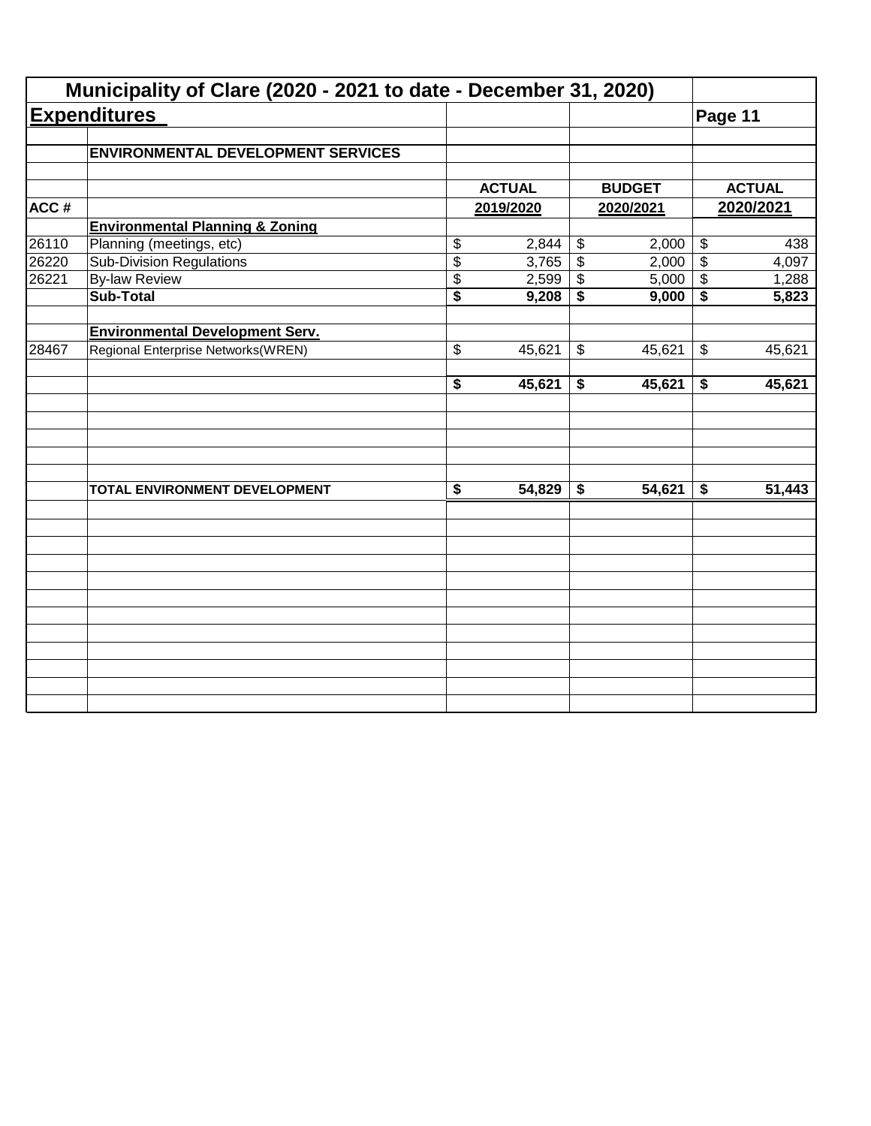|       | Municipality of Clare (2020 - 2021 to date - December 31, 2020) |                                      |               |                            |               |                            |               |
|-------|-----------------------------------------------------------------|--------------------------------------|---------------|----------------------------|---------------|----------------------------|---------------|
|       | <b>Expenditures</b>                                             |                                      |               |                            |               | Page 11                    |               |
|       | <b>ENVIRONMENTAL DEVELOPMENT SERVICES</b>                       |                                      |               |                            |               |                            |               |
|       |                                                                 |                                      | <b>ACTUAL</b> |                            | <b>BUDGET</b> |                            | <b>ACTUAL</b> |
| ACC#  |                                                                 |                                      | 2019/2020     |                            | 2020/2021     |                            | 2020/2021     |
|       | <b>Environmental Planning &amp; Zoning</b>                      |                                      |               |                            |               |                            |               |
| 26110 | Planning (meetings, etc)                                        | \$                                   | 2,844         | $\boldsymbol{\mathsf{\$}}$ | 2,000         | $\boldsymbol{\mathsf{\$}}$ | 438           |
| 26220 | <b>Sub-Division Regulations</b>                                 | $\overline{\$}$                      | 3,765         | $\overline{\mathcal{L}}$   | 2,000         | $\overline{\mathcal{S}}$   | 4,097         |
| 26221 | <b>By-law Review</b>                                            | \$                                   | 2,599         | \$                         | 5,000         | $\boldsymbol{\mathsf{\$}}$ | 1,288         |
|       | <b>Sub-Total</b>                                                | $\overline{\$}$                      | 9,208         | \$                         | 9,000         | \$                         | 5,823         |
|       | <b>Environmental Development Serv.</b>                          |                                      |               |                            |               |                            |               |
| 28467 | Regional Enterprise Networks(WREN)                              | \$                                   | 45,621        | \$                         | 45,621        | $\boldsymbol{\mathsf{\$}}$ | 45,621        |
|       |                                                                 | $\overline{\boldsymbol{s}}$          | 45,621        | \$                         | 45,621        | \$                         | 45,621        |
|       |                                                                 |                                      |               |                            |               |                            |               |
|       | TOTAL ENVIRONMENT DEVELOPMENT                                   | $\overline{\boldsymbol{\mathsf{s}}}$ | 54,829        | \$                         | 54,621        | \$                         | 51,443        |
|       |                                                                 |                                      |               |                            |               |                            |               |
|       |                                                                 |                                      |               |                            |               |                            |               |
|       |                                                                 |                                      |               |                            |               |                            |               |
|       |                                                                 |                                      |               |                            |               |                            |               |
|       |                                                                 |                                      |               |                            |               |                            |               |
|       |                                                                 |                                      |               |                            |               |                            |               |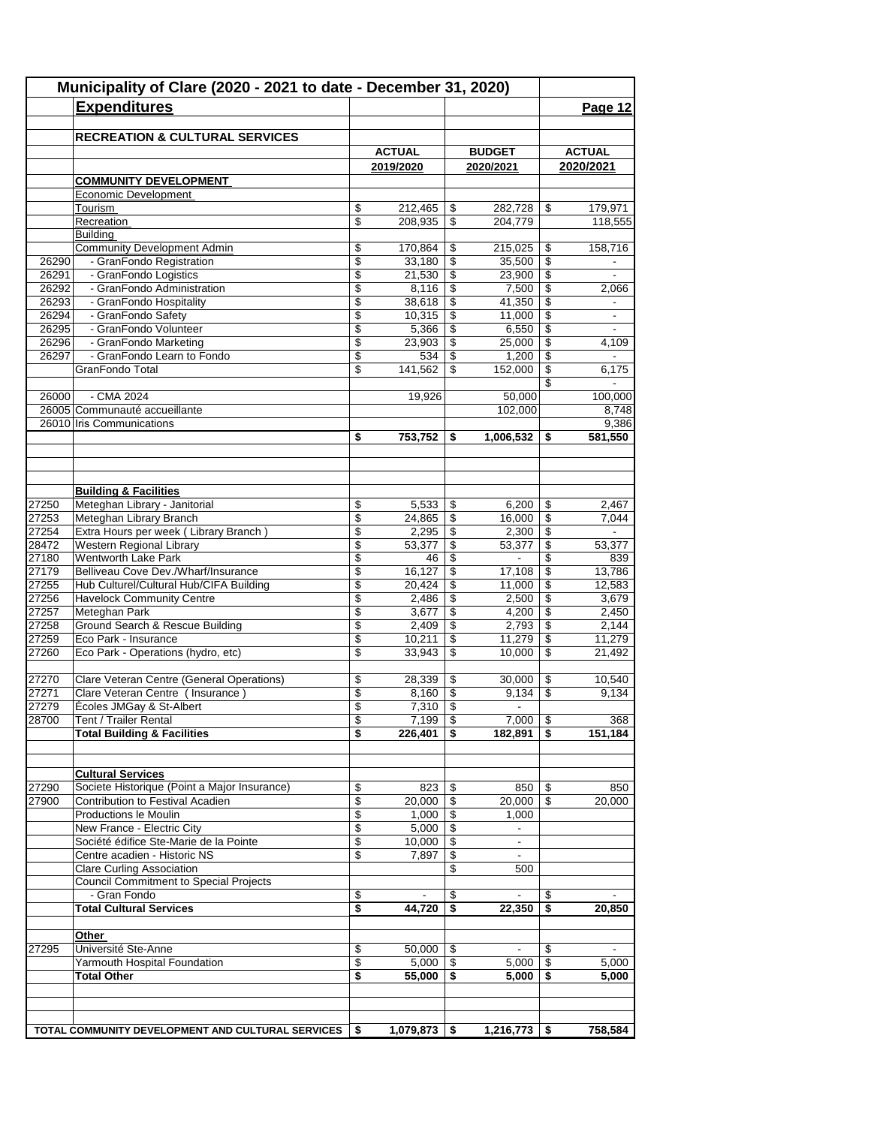|       | Municipality of Clare (2020 - 2021 to date - December 31, 2020) |                         |                  |                          |                          |                          |                          |
|-------|-----------------------------------------------------------------|-------------------------|------------------|--------------------------|--------------------------|--------------------------|--------------------------|
|       | <b>Expenditures</b>                                             |                         |                  |                          |                          |                          | Page 12                  |
|       |                                                                 |                         |                  |                          |                          |                          |                          |
|       | <b>RECREATION &amp; CULTURAL SERVICES</b>                       |                         |                  |                          |                          |                          |                          |
|       |                                                                 |                         | <b>ACTUAL</b>    |                          | <b>BUDGET</b>            |                          | <b>ACTUAL</b>            |
|       |                                                                 |                         | 2019/2020        |                          | 2020/2021                |                          | 2020/2021                |
|       | <b>COMMUNITY DEVELOPMENT</b>                                    |                         |                  |                          |                          |                          |                          |
|       | Economic Development                                            |                         |                  |                          |                          |                          |                          |
|       | Tourism                                                         | \$                      | 212,465          | \$                       | 282,728                  | \$                       | 179,971                  |
|       | Recreation                                                      | \$                      | 208,935          | \$                       | 204,779                  |                          | 118,555                  |
|       | Building<br><b>Community Development Admin</b>                  | \$                      | 170,864          |                          | 215,025                  |                          | 158,716                  |
| 26290 | - GranFondo Registration                                        | \$                      | 33,180           | \$<br>\$                 | 35,500                   | \$<br>\$                 |                          |
| 26291 | - GranFondo Logistics                                           | \$                      | 21,530           | \$                       | 23,900                   | \$                       | $\overline{\phantom{a}}$ |
| 26292 | - GranFondo Administration                                      | \$                      | 8,116            | \$                       | 7,500                    | \$                       | 2,066                    |
| 26293 | - GranFondo Hospitality                                         | \$                      | 38,618           | \$                       | 41,350                   | \$                       | -                        |
| 26294 | - GranFondo Safety                                              | \$                      | 10,315           | $\boldsymbol{\theta}$    | 11,000                   | \$                       |                          |
| 26295 | - GranFondo Volunteer                                           | \$                      | 5,366            | \$                       | 6,550                    | \$                       | $\blacksquare$           |
| 26296 | - GranFondo Marketing                                           | \$                      | 23,903           | \$                       | 25,000                   | \$                       | 4,109                    |
| 26297 | - GranFondo Learn to Fondo                                      | $\overline{\mathbb{S}}$ | 534              | $\overline{\mathcal{S}}$ | 1,200                    | $\overline{\$}$          |                          |
|       | GranFondo Total                                                 | \$                      | 141,562          | \$                       | 152,000                  | \$                       | 6,175                    |
|       |                                                                 |                         |                  |                          |                          | \$                       |                          |
| 26000 | - CMA 2024                                                      |                         | 19,926           |                          | 50,000                   |                          | 100,000                  |
|       | 26005 Communauté accueillante                                   |                         |                  |                          | 102,000                  |                          | 8,748                    |
|       | 26010 Iris Communications                                       |                         |                  |                          |                          |                          | 9,386                    |
|       |                                                                 | \$                      | 753,752          | \$                       | 1,006,532                | \$                       | 581,550                  |
|       |                                                                 |                         |                  |                          |                          |                          |                          |
|       |                                                                 |                         |                  |                          |                          |                          |                          |
|       | <b>Building &amp; Facilities</b>                                |                         |                  |                          |                          |                          |                          |
| 27250 | Meteghan Library - Janitorial                                   | \$                      | 5,533            | \$                       | 6,200                    | \$                       | 2,467                    |
| 27253 | Meteghan Library Branch                                         | \$                      | 24,865           | \$                       | 16,000                   | \$                       | 7,044                    |
| 27254 | Extra Hours per week (Library Branch)                           | \$                      | 2,295            | \$                       | 2,300                    | \$                       |                          |
| 28472 | Western Regional Library                                        | \$                      | 53,377           | $\overline{\$}$          | 53,377                   | $\overline{\$}$          | 53,377                   |
| 27180 | <b>Wentworth Lake Park</b>                                      | \$                      | 46               | \$                       | $\overline{\phantom{a}}$ | \$                       | 839                      |
| 27179 | Belliveau Cove Dev./Wharf/Insurance                             | \$                      | 16,127           | \$                       | 17,108                   | \$                       | 13,786                   |
| 27255 | Hub Culturel/Cultural Hub/CIFA Building                         | \$                      | 20,424           | $\overline{\mathcal{S}}$ | 11,000                   | $\overline{\mathcal{S}}$ | 12,583                   |
| 27256 | <b>Havelock Community Centre</b>                                | \$                      | 2,486            | \$                       | 2,500                    | \$                       | 3,679                    |
| 27257 | Meteghan Park                                                   | \$                      | 3,677            | \$                       | 4,200                    | \$                       | 2,450                    |
| 27258 | Ground Search & Rescue Building                                 | \$                      | 2,409            | $\mathsf{\$}$            | 2,793                    | \$                       | 2,144                    |
| 27259 | Eco Park - Insurance                                            | \$                      | 10,211           | $\overline{\mathcal{E}}$ | 11,279                   | \$                       | 11,279                   |
| 27260 | Eco Park - Operations (hydro, etc)                              | \$                      | 33,943           | \$                       | 10,000                   | \$                       | 21,492                   |
|       |                                                                 |                         |                  |                          |                          |                          |                          |
| 27270 | Clare Veteran Centre (General Operations)                       | \$                      | 28,339           | \$                       | 30,000                   | \$                       | 10,540                   |
| 27271 | Clare Veteran Centre ( Insurance )                              | \$                      | 8,160            | $\boldsymbol{\theta}$    | 9,134                    | \$                       | 9,134                    |
| 27279 | Écoles JMGay & St-Albert                                        | \$                      | 7,310            | \$                       | $\blacksquare$           |                          |                          |
| 28700 | Tent / Trailer Rental<br><b>Total Building &amp; Facilities</b> | \$<br>\$                | 7,199<br>226,401 | \$                       | 7,000<br>182,891         | \$<br>\$                 | 368                      |
|       |                                                                 |                         |                  |                          |                          |                          | 151,184                  |
|       |                                                                 |                         |                  |                          |                          |                          |                          |
|       | <b>Cultural Services</b>                                        |                         |                  |                          |                          |                          |                          |
| 27290 | Societe Historique (Point a Major Insurance)                    | \$                      | 823              | \$                       | 850                      |                          | 850                      |
| 27900 | Contribution to Festival Acadien                                | \$                      | 20,000           | \$                       | 20,000                   | \$                       | 20,000                   |
|       | Productions le Moulin                                           | \$                      | 1,000            | \$                       | 1,000                    |                          |                          |
|       | New France - Electric City                                      | \$                      | 5,000            | \$                       | $\blacksquare$           |                          |                          |
|       | Société édifice Ste-Marie de la Pointe                          | \$                      | 10,000           | \$                       | $\blacksquare$           |                          |                          |
|       | Centre acadien - Historic NS                                    | \$                      | 7,897            | \$                       |                          |                          |                          |
|       | Clare Curling Association                                       |                         |                  | \$                       | 500                      |                          |                          |
|       | Council Commitment to Special Projects                          |                         |                  |                          |                          |                          |                          |
|       | - Gran Fondo                                                    | \$                      |                  | \$                       |                          | S.                       |                          |
|       | <b>Total Cultural Services</b>                                  | \$                      | 44,720           | $\overline{\bullet}$     | 22,350                   | \$                       | 20,850                   |
|       |                                                                 |                         |                  |                          |                          |                          |                          |
|       | <u>Other</u>                                                    |                         |                  |                          |                          |                          |                          |
| 27295 | Université Ste-Anne                                             | \$                      | 50,000           | \$                       |                          | \$                       |                          |
|       | Yarmouth Hospital Foundation                                    | \$                      | 5,000            | \$                       | 5,000                    | \$                       | 5,000                    |
|       | <b>Total Other</b>                                              | \$                      | 55,000           | \$                       | 5,000                    | \$                       | 5,000                    |
|       |                                                                 |                         |                  |                          |                          |                          |                          |
|       |                                                                 |                         |                  |                          |                          |                          |                          |
|       | TOTAL COMMUNITY DEVELOPMENT AND CULTURAL SERVICES               | \$                      | 1,079,873        | \$                       | 1,216,773                | \$                       | 758,584                  |
|       |                                                                 |                         |                  |                          |                          |                          |                          |